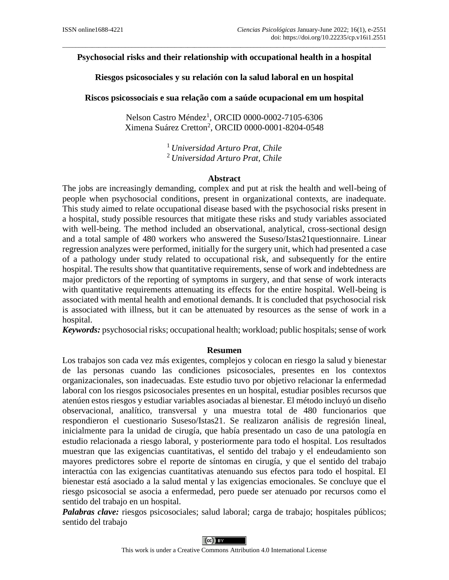# $\_$  . The contribution of the contribution of the contribution of the contribution of the contribution of the contribution of the contribution of the contribution of the contribution of the contribution of the contributio **Psychosocial risks and their relationship with occupational health in a hospital**

**Riesgos psicosociales y su relación con la salud laboral en un hospital**

**Riscos psicossociais e sua relação com a saúde ocupacional em um hospital**

Nelson Castro Méndez<sup>1</sup> *,* ORCID 0000-0002-7105-6306 Ximena Suárez Cretton<sup>2</sup>, ORCID 0000-0001-8204-0548

> <sup>1</sup>*Universidad Arturo Prat, Chile* <sup>2</sup>*Universidad Arturo Prat, Chile*

## **Abstract**

The jobs are increasingly demanding, complex and put at risk the health and well-being of people when psychosocial conditions, present in organizational contexts, are inadequate. This study aimed to relate occupational disease based with the psychosocial risks present in a hospital, study possible resources that mitigate these risks and study variables associated with well-being. The method included an observational, analytical, cross-sectional design and a total sample of 480 workers who answered the Suseso/Istas21questionnaire. Linear regression analyzes were performed, initially for the surgery unit, which had presented a case of a pathology under study related to occupational risk, and subsequently for the entire hospital. The results show that quantitative requirements, sense of work and indebtedness are major predictors of the reporting of symptoms in surgery, and that sense of work interacts with quantitative requirements attenuating its effects for the entire hospital. Well-being is associated with mental health and emotional demands. It is concluded that psychosocial risk is associated with illness, but it can be attenuated by resources as the sense of work in a hospital.

*Keywords:* psychosocial risks; occupational health; workload; public hospitals; sense of work

## **Resumen**

Los trabajos son cada vez más exigentes, complejos y colocan en riesgo la salud y bienestar de las personas cuando las condiciones psicosociales, presentes en los contextos organizacionales, son inadecuadas. Este estudio tuvo por objetivo relacionar la enfermedad laboral con los riesgos psicosociales presentes en un hospital, estudiar posibles recursos que atenúen estos riesgos y estudiar variables asociadas al bienestar. El método incluyó un diseño observacional, analítico, transversal y una muestra total de 480 funcionarios que respondieron el cuestionario Suseso/Istas21. Se realizaron análisis de regresión lineal, inicialmente para la unidad de cirugía, que había presentado un caso de una patología en estudio relacionada a riesgo laboral, y posteriormente para todo el hospital. Los resultados muestran que las exigencias cuantitativas, el sentido del trabajo y el endeudamiento son mayores predictores sobre el reporte de síntomas en cirugía, y que el sentido del trabajo interactúa con las exigencias cuantitativas atenuando sus efectos para todo el hospital. El bienestar está asociado a la salud mental y las exigencias emocionales. Se concluye que el riesgo psicosocial se asocia a enfermedad, pero puede ser atenuado por recursos como el sentido del trabajo en un hospital.

*Palabras clave:* riesgos psicosociales; salud laboral; carga de trabajo; hospitales públicos; sentido del trabajo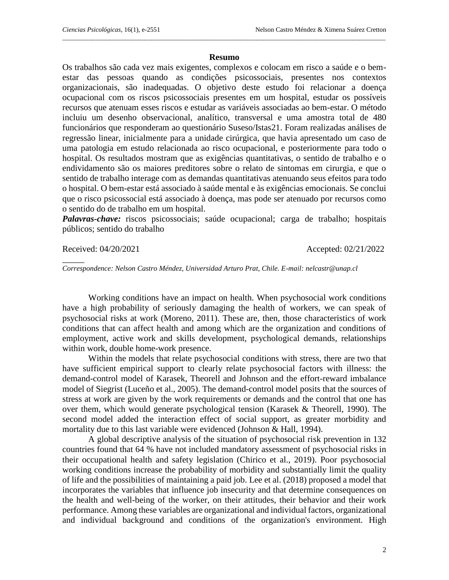#### **Resumo**

 $\_$  . The contribution of the contribution of the contribution of the contribution of  $\mathcal{L}_1$ 

Os trabalhos são cada vez mais exigentes, complexos e colocam em risco a saúde e o bemestar das pessoas quando as condições psicossociais, presentes nos contextos organizacionais, são inadequadas. O objetivo deste estudo foi relacionar a doença ocupacional com os riscos psicossociais presentes em um hospital, estudar os possíveis recursos que atenuam esses riscos e estudar as variáveis associadas ao bem-estar. O método incluiu um desenho observacional, analítico, transversal e uma amostra total de 480 funcionários que responderam ao questionário Suseso/Istas21. Foram realizadas análises de regressão linear, inicialmente para a unidade cirúrgica, que havia apresentado um caso de uma patologia em estudo relacionada ao risco ocupacional, e posteriormente para todo o hospital. Os resultados mostram que as exigências quantitativas, o sentido de trabalho e o endividamento são os maiores preditores sobre o relato de sintomas em cirurgia, e que o sentido de trabalho interage com as demandas quantitativas atenuando seus efeitos para todo o hospital. O bem-estar está associado à saúde mental e às exigências emocionais. Se conclui que o risco psicossocial está associado à doença, mas pode ser atenuado por recursos como o sentido do de trabalho em um hospital.

*Palavras-chave:* riscos psicossociais; saúde ocupacional; carga de trabalho; hospitais públicos; sentido do trabalho

 $\overline{\phantom{a}}$ 

Received: 04/20/2021 Accepted: 02/21/2022

*Correspondence: Nelson Castro Méndez, Universidad Arturo Prat, Chile. E-mail: nelcastr@unap.cl*

Working conditions have an impact on health. When psychosocial work conditions have a high probability of seriously damaging the health of workers, we can speak of psychosocial risks at work (Moreno, 2011). These are, then, those characteristics of work conditions that can affect health and among which are the organization and conditions of employment, active work and skills development, psychological demands, relationships within work, double home-work presence.

Within the models that relate psychosocial conditions with stress, there are two that have sufficient empirical support to clearly relate psychosocial factors with illness: the demand-control model of Karasek, Theorell and Johnson and the effort-reward imbalance model of Siegrist (Luceño et al., 2005). The demand-control model posits that the sources of stress at work are given by the work requirements or demands and the control that one has over them, which would generate psychological tension (Karasek & Theorell, 1990). The second model added the interaction effect of social support, as greater morbidity and mortality due to this last variable were evidenced (Johnson & Hall, 1994).

A global descriptive analysis of the situation of psychosocial risk prevention in 132 countries found that 64 % have not included mandatory assessment of psychosocial risks in their occupational health and safety legislation (Chirico et al., 2019). Poor psychosocial working conditions increase the probability of morbidity and substantially limit the quality of life and the possibilities of maintaining a paid job. Lee et al. (2018) proposed a model that incorporates the variables that influence job insecurity and that determine consequences on the health and well-being of the worker, on their attitudes, their behavior and their work performance. Among these variables are organizational and individual factors, organizational and individual background and conditions of the organization's environment. High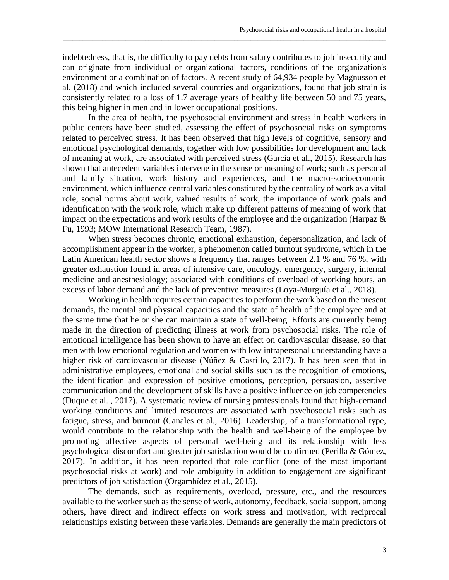indebtedness, that is, the difficulty to pay debts from salary contributes to job insecurity and can originate from individual or organizational factors, conditions of the organization's environment or a combination of factors. A recent study of 64,934 people by Magnusson et al. (2018) and which included several countries and organizations, found that job strain is consistently related to a loss of 1.7 average years of healthy life between 50 and 75 years, this being higher in men and in lower occupational positions.

\_\_\_\_\_\_\_\_\_\_\_\_\_\_\_\_\_\_\_\_\_\_\_\_\_\_\_\_\_\_\_\_\_\_\_\_\_\_\_\_\_\_\_\_\_\_\_\_\_\_\_\_\_\_\_\_\_\_\_\_\_\_\_\_\_\_\_\_\_\_\_\_\_\_\_\_\_\_\_\_\_\_\_\_\_\_\_\_\_\_\_\_\_\_\_\_\_\_

In the area of health, the psychosocial environment and stress in health workers in public centers have been studied, assessing the effect of psychosocial risks on symptoms related to perceived stress. It has been observed that high levels of cognitive, sensory and emotional psychological demands, together with low possibilities for development and lack of meaning at work, are associated with perceived stress (García et al., 2015). Research has shown that antecedent variables intervene in the sense or meaning of work; such as personal and family situation, work history and experiences, and the macro-socioeconomic environment, which influence central variables constituted by the centrality of work as a vital role, social norms about work, valued results of work, the importance of work goals and identification with the work role, which make up different patterns of meaning of work that impact on the expectations and work results of the employee and the organization (Harpaz  $\&$ Fu, 1993; MOW International Research Team, 1987).

When stress becomes chronic, emotional exhaustion, depersonalization, and lack of accomplishment appear in the worker, a phenomenon called burnout syndrome, which in the Latin American health sector shows a frequency that ranges between 2.1 % and 76 %, with greater exhaustion found in areas of intensive care, oncology, emergency, surgery, internal medicine and anesthesiology; associated with conditions of overload of working hours, an excess of labor demand and the lack of preventive measures (Loya-Murguía et al., 2018).

Working in health requires certain capacities to perform the work based on the present demands, the mental and physical capacities and the state of health of the employee and at the same time that he or she can maintain a state of well-being. Efforts are currently being made in the direction of predicting illness at work from psychosocial risks. The role of emotional intelligence has been shown to have an effect on cardiovascular disease, so that men with low emotional regulation and women with low intrapersonal understanding have a higher risk of cardiovascular disease (Núñez & Castillo, 2017). It has been seen that in administrative employees, emotional and social skills such as the recognition of emotions, the identification and expression of positive emotions, perception, persuasion, assertive communication and the development of skills have a positive influence on job competencies (Duque et al. , 2017). A systematic review of nursing professionals found that high-demand working conditions and limited resources are associated with psychosocial risks such as fatigue, stress, and burnout (Canales et al., 2016). Leadership, of a transformational type, would contribute to the relationship with the health and well-being of the employee by promoting affective aspects of personal well-being and its relationship with less psychological discomfort and greater job satisfaction would be confirmed (Perilla & Gómez, 2017). In addition, it has been reported that role conflict (one of the most important psychosocial risks at work) and role ambiguity in addition to engagement are significant predictors of job satisfaction (Orgambídez et al., 2015).

The demands, such as requirements, overload, pressure, etc., and the resources available to the worker such as the sense of work, autonomy, feedback, social support, among others, have direct and indirect effects on work stress and motivation, with reciprocal relationships existing between these variables. Demands are generally the main predictors of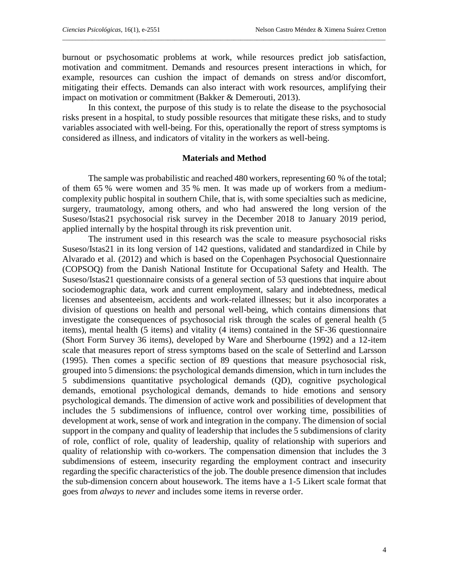burnout or psychosomatic problems at work, while resources predict job satisfaction, motivation and commitment. Demands and resources present interactions in which, for example, resources can cushion the impact of demands on stress and/or discomfort, mitigating their effects. Demands can also interact with work resources, amplifying their impact on motivation or commitment (Bakker & Demerouti, 2013).

 $\_$  . The contribution of the contribution of the contribution of the contribution of  $\mathcal{L}_1$ 

In this context, the purpose of this study is to relate the disease to the psychosocial risks present in a hospital, to study possible resources that mitigate these risks, and to study variables associated with well-being. For this, operationally the report of stress symptoms is considered as illness, and indicators of vitality in the workers as well-being.

## **Materials and Method**

The sample was probabilistic and reached 480 workers, representing 60 % of the total; of them 65 % were women and 35 % men. It was made up of workers from a mediumcomplexity public hospital in southern Chile, that is, with some specialties such as medicine, surgery, traumatology, among others, and who had answered the long version of the Suseso/Istas21 psychosocial risk survey in the December 2018 to January 2019 period, applied internally by the hospital through its risk prevention unit.

The instrument used in this research was the scale to measure psychosocial risks Suseso/Istas21 in its long version of 142 questions, validated and standardized in Chile by Alvarado et al. (2012) and which is based on the Copenhagen Psychosocial Questionnaire (COPSOQ) from the Danish National Institute for Occupational Safety and Health. The Suseso/Istas21 questionnaire consists of a general section of 53 questions that inquire about sociodemographic data, work and current employment, salary and indebtedness, medical licenses and absenteeism, accidents and work-related illnesses; but it also incorporates a division of questions on health and personal well-being, which contains dimensions that investigate the consequences of psychosocial risk through the scales of general health (5 items), mental health (5 items) and vitality (4 items) contained in the SF-36 questionnaire (Short Form Survey 36 items), developed by Ware and Sherbourne (1992) and a 12-item scale that measures report of stress symptoms based on the scale of Setterlind and Larsson (1995). Then comes a specific section of 89 questions that measure psychosocial risk, grouped into 5 dimensions: the psychological demands dimension, which in turn includes the 5 subdimensions quantitative psychological demands (QD), cognitive psychological demands, emotional psychological demands, demands to hide emotions and sensory psychological demands. The dimension of active work and possibilities of development that includes the 5 subdimensions of influence, control over working time, possibilities of development at work, sense of work and integration in the company. The dimension of social support in the company and quality of leadership that includes the 5 subdimensions of clarity of role, conflict of role, quality of leadership, quality of relationship with superiors and quality of relationship with co-workers. The compensation dimension that includes the 3 subdimensions of esteem, insecurity regarding the employment contract and insecurity regarding the specific characteristics of the job. The double presence dimension that includes the sub-dimension concern about housework. The items have a 1-5 Likert scale format that goes from *always* to *never* and includes some items in reverse order.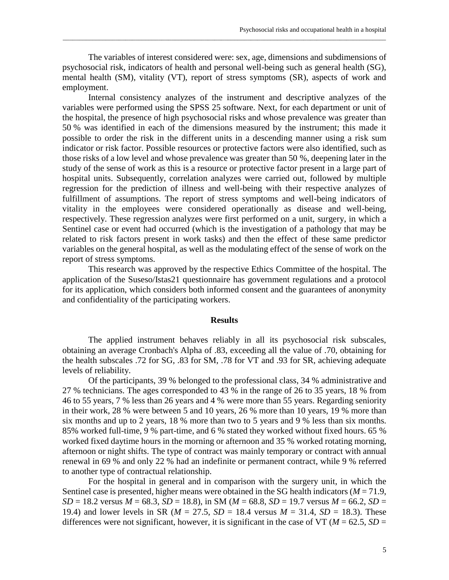The variables of interest considered were: sex, age, dimensions and subdimensions of psychosocial risk, indicators of health and personal well-being such as general health (SG), mental health (SM), vitality (VT), report of stress symptoms (SR), aspects of work and employment.

\_\_\_\_\_\_\_\_\_\_\_\_\_\_\_\_\_\_\_\_\_\_\_\_\_\_\_\_\_\_\_\_\_\_\_\_\_\_\_\_\_\_\_\_\_\_\_\_\_\_\_\_\_\_\_\_\_\_\_\_\_\_\_\_\_\_\_\_\_\_\_\_\_\_\_\_\_\_\_\_\_\_\_\_\_\_\_\_\_\_\_\_\_\_\_\_\_\_

Internal consistency analyzes of the instrument and descriptive analyzes of the variables were performed using the SPSS 25 software. Next, for each department or unit of the hospital, the presence of high psychosocial risks and whose prevalence was greater than 50 % was identified in each of the dimensions measured by the instrument; this made it possible to order the risk in the different units in a descending manner using a risk sum indicator or risk factor. Possible resources or protective factors were also identified, such as those risks of a low level and whose prevalence was greater than 50 %, deepening later in the study of the sense of work as this is a resource or protective factor present in a large part of hospital units. Subsequently, correlation analyzes were carried out, followed by multiple regression for the prediction of illness and well-being with their respective analyzes of fulfillment of assumptions. The report of stress symptoms and well-being indicators of vitality in the employees were considered operationally as disease and well-being, respectively. These regression analyzes were first performed on a unit, surgery, in which a Sentinel case or event had occurred (which is the investigation of a pathology that may be related to risk factors present in work tasks) and then the effect of these same predictor variables on the general hospital, as well as the modulating effect of the sense of work on the report of stress symptoms.

This research was approved by the respective Ethics Committee of the hospital. The application of the Suseso/Istas21 questionnaire has government regulations and a protocol for its application, which considers both informed consent and the guarantees of anonymity and confidentiality of the participating workers.

## **Results**

The applied instrument behaves reliably in all its psychosocial risk subscales, obtaining an average Cronbach's Alpha of .83, exceeding all the value of .70, obtaining for the health subscales .72 for SG, .83 for SM, .78 for VT and .93 for SR, achieving adequate levels of reliability.

Of the participants, 39 % belonged to the professional class, 34 % administrative and 27 % technicians. The ages corresponded to 43 % in the range of 26 to 35 years, 18 % from 46 to 55 years, 7 % less than 26 years and 4 % were more than 55 years. Regarding seniority in their work, 28 % were between 5 and 10 years, 26 % more than 10 years, 19 % more than six months and up to 2 years, 18 % more than two to 5 years and 9 % less than six months. 85% worked full-time, 9 % part-time, and 6 % stated they worked without fixed hours. 65 % worked fixed daytime hours in the morning or afternoon and 35 % worked rotating morning, afternoon or night shifts. The type of contract was mainly temporary or contract with annual renewal in 69 % and only 22 % had an indefinite or permanent contract, while 9 % referred to another type of contractual relationship.

For the hospital in general and in comparison with the surgery unit, in which the Sentinel case is presented, higher means were obtained in the SG health indicators ( $M = 71.9$ ,  $SD = 18.2$  versus  $M = 68.3$ ,  $SD = 18.8$ ), in SM ( $M = 68.8$ ,  $SD = 19.7$  versus  $M = 66.2$ ,  $SD = 18.2$ 19.4) and lower levels in SR ( $M = 27.5$ ,  $SD = 18.4$  versus  $M = 31.4$ ,  $SD = 18.3$ ). These differences were not significant, however, it is significant in the case of VT ( $M = 62.5$ ,  $SD =$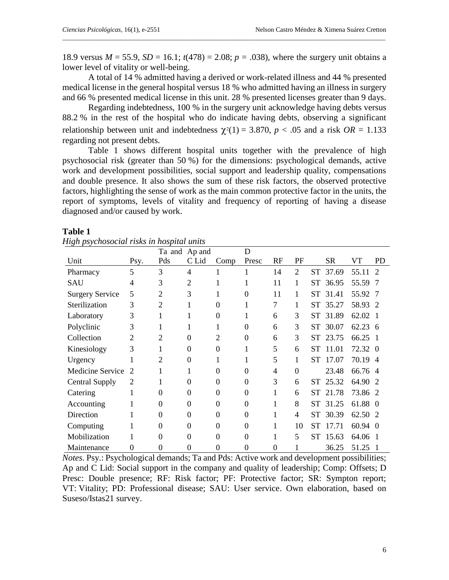18.9 versus  $M = 55.9$ ,  $SD = 16.1$ ;  $t(478) = 2.08$ ;  $p = .038$ ), where the surgery unit obtains a lower level of vitality or well-being.

 $\_$  . The contribution of the contribution of the contribution of the contribution of  $\mathcal{L}_1$ 

A total of 14 % admitted having a derived or work-related illness and 44 % presented medical license in the general hospital versus 18 % who admitted having an illness in surgery and 66 % presented medical license in this unit. 28 % presented licenses greater than 9 days.

Regarding indebtedness, 100 % in the surgery unit acknowledge having debts versus 88.2 % in the rest of the hospital who do indicate having debts, observing a significant relationship between unit and indebtedness  $\chi^2(1) = 3.870$ ,  $p < .05$  and a risk  $OR = 1.133$ regarding not present debts.

Table 1 shows different hospital units together with the prevalence of high psychosocial risk (greater than 50 %) for the dimensions: psychological demands, active work and development possibilities, social support and leadership quality, compensations and double presence. It also shows the sum of these risk factors, the observed protective factors, highlighting the sense of work as the main common protective factor in the units, the report of symptoms, levels of vitality and frequency of reporting of having a disease diagnosed and/or caused by work.

## **Table 1**

| High psychosocial risks in hospital units |  |  |
|-------------------------------------------|--|--|
|                                           |  |  |

|                        |                |                | Ta and Ap and |                | D        |          |                |           |           |         |               |
|------------------------|----------------|----------------|---------------|----------------|----------|----------|----------------|-----------|-----------|---------|---------------|
| Unit                   | Psy.           | Pds            | C Lid         | Comp           | Presc    | RF       | PF             |           | <b>SR</b> | VT      | <b>PD</b>     |
| Pharmacy               | 5              | 3              | 4             | 1              |          | 14       | $\overline{2}$ |           | ST 37.69  | 55.11   | $\mathcal{D}$ |
| <b>SAU</b>             | 4              | 3              | 2             | 1              |          | 11       | 1              |           | ST 36.95  | 55.59 7 |               |
| <b>Surgery Service</b> | 5              | $\overline{2}$ | 3             | 1              | $\Omega$ | 11       | 1              |           | ST 31.41  | 55.92 7 |               |
| Sterilization          | 3              | $\overline{2}$ |               | $\theta$       |          | 7        | 1              |           | ST 35.27  | 58.93 2 |               |
| Laboratory             | 3              | 1              |               | $\theta$       |          | 6        | 3              |           | ST 31.89  | 62.02 1 |               |
| Polyclinic             | 3              | 1              |               | 1              | $\Omega$ | 6        | 3              |           | ST 30.07  | 62.23 6 |               |
| Collection             | $\overline{2}$ | $\mathfrak{D}$ | $\theta$      | $\overline{2}$ | $\Omega$ | 6        | 3              |           | ST 23.75  | 66.25   |               |
| Kinesiology            | 3              | 1              | $\theta$      | $\theta$       | 1        | 5        | 6              | <b>ST</b> | 11.01     | 72.32 0 |               |
| Urgency                |                | $\overline{2}$ | $\theta$      | 1              | 1        | 5        | 1              |           | ST 17.07  | 70.19 4 |               |
| Medicine Service       | 2              | 1              |               | $\Omega$       | $\theta$ | 4        | $\mathbf{0}$   |           | 23.48     | 66.76 4 |               |
| <b>Central Supply</b>  | 2              | 1              | $\theta$      | $\theta$       | $\Omega$ | 3        | 6              |           | ST 25.32  | 64.90   |               |
| Catering               | 1              | 0              | 0             | $\theta$       | $\Omega$ | 1        | 6              |           | ST 21.78  | 73.86 2 |               |
| Accounting             |                | 0              | $\theta$      | $\theta$       | $\Omega$ | 1        | 8              |           | ST 31.25  | 61.88 0 |               |
| Direction              |                | $\theta$       | $\theta$      | $\theta$       | $\Omega$ | 1        | 4              |           | ST 30.39  | 62.50 2 |               |
| Computing              |                | 0              | 0             | $\theta$       | $\Omega$ |          | 10             | <b>ST</b> | 17.71     | 60.94 0 |               |
| Mobilization           |                | 0              | 0             | $\Omega$       | $\Omega$ |          | 5              |           | ST 15.63  | 64.06 1 |               |
| Maintenance            | 0              | 0              | 0             | $\theta$       | $\theta$ | $\theta$ | $\mathbf 1$    |           | 36.25     | 51.25   |               |

*Notes*. Psy.: Psychological demands; Ta and Pds: Active work and development possibilities; Ap and C Lid: Social support in the company and quality of leadership; Comp: Offsets; D Presc: Double presence; RF: Risk factor; PF: Protective factor; SR: Sympton report; VT: Vitality; PD: Professional disease; SAU: User service. Own elaboration, based on Suseso/Istas21 survey.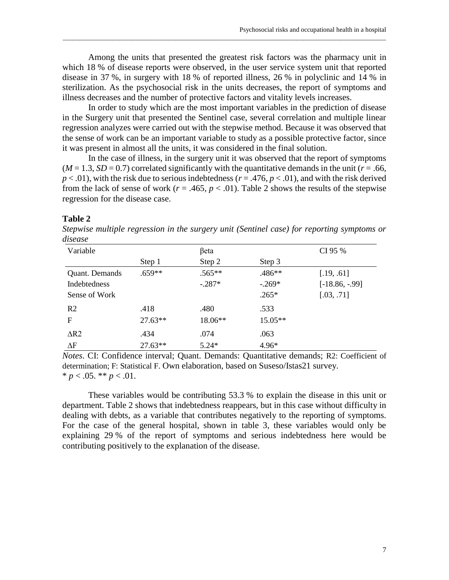Among the units that presented the greatest risk factors was the pharmacy unit in which 18 % of disease reports were observed, in the user service system unit that reported disease in 37 %, in surgery with 18 % of reported illness, 26 % in polyclinic and 14 % in sterilization. As the psychosocial risk in the units decreases, the report of symptoms and illness decreases and the number of protective factors and vitality levels increases.

\_\_\_\_\_\_\_\_\_\_\_\_\_\_\_\_\_\_\_\_\_\_\_\_\_\_\_\_\_\_\_\_\_\_\_\_\_\_\_\_\_\_\_\_\_\_\_\_\_\_\_\_\_\_\_\_\_\_\_\_\_\_\_\_\_\_\_\_\_\_\_\_\_\_\_\_\_\_\_\_\_\_\_\_\_\_\_\_\_\_\_\_\_\_\_\_\_\_

In order to study which are the most important variables in the prediction of disease in the Surgery unit that presented the Sentinel case, several correlation and multiple linear regression analyzes were carried out with the stepwise method. Because it was observed that the sense of work can be an important variable to study as a possible protective factor, since it was present in almost all the units, it was considered in the final solution.

In the case of illness, in the surgery unit it was observed that the report of symptoms  $(M = 1.3, SD = 0.7)$  correlated significantly with the quantitative demands in the unit ( $r = .66$ ,  $p < .01$ ), with the risk due to serious indebtedness ( $r = .476$ ,  $p < .01$ ), and with the risk derived from the lack of sense of work ( $r = .465$ ,  $p < .01$ ). Table 2 shows the results of the stepwise regression for the disease case.

#### **Table 2**

*Stepwise multiple regression in the surgery unit (Sentinel case) for reporting symptoms or disease*

| Variable       |           | βeta     |           |                   |  |
|----------------|-----------|----------|-----------|-------------------|--|
|                | Step 1    | Step 2   | Step 3    |                   |  |
| Quant. Demands | $.659**$  | $.565**$ | .486**    | [.19, .61]        |  |
| Indebtedness   |           | $-.287*$ | $-.269*$  | $[-18.86, -0.99]$ |  |
| Sense of Work  |           |          | $.265*$   | [.03, .71]        |  |
| R <sub>2</sub> | .418      | .480     | .533      |                   |  |
| F              | $27.63**$ | 18.06**  | $15.05**$ |                   |  |
| $\Delta R2$    | .434      | .074     | .063      |                   |  |
| $\Delta F$     | $27.63**$ | $5.24*$  | $4.96*$   |                   |  |

*Notes*. CI: Confidence interval; Quant. Demands: Quantitative demands; R2: Coefficient of determination; F: Statistical F. Own elaboration, based on Suseso/Istas21 survey.  $* p < .05. ** p < .01.$ 

These variables would be contributing 53.3 % to explain the disease in this unit or department. Table 2 shows that indebtedness reappears, but in this case without difficulty in dealing with debts, as a variable that contributes negatively to the reporting of symptoms. For the case of the general hospital, shown in table 3, these variables would only be explaining 29 % of the report of symptoms and serious indebtedness here would be contributing positively to the explanation of the disease.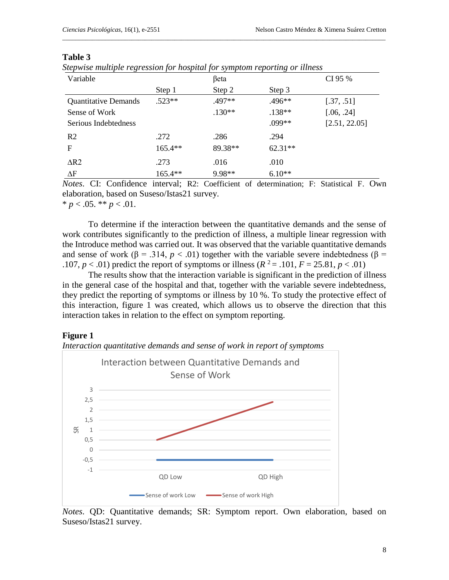| 'able |  |
|-------|--|
|-------|--|

|  | Stepwise multiple regression for hospital for symptom reporting or illness |  |  |  |
|--|----------------------------------------------------------------------------|--|--|--|
|  |                                                                            |  |  |  |

| Variable                    |           | βeta     |           | CI 95 %       |
|-----------------------------|-----------|----------|-----------|---------------|
|                             | Step 1    | Step 2   | Step 3    |               |
| <b>Quantitative Demands</b> | $.523**$  | .497**   | $.496**$  | [.37, .51]    |
| Sense of Work               |           | $.130**$ | $.138**$  | [.06, .24]    |
| Serious Indebtedness        |           |          | .099**    | [2.51, 22.05] |
| R <sub>2</sub>              | .272      | .286     | .294      |               |
| F                           | $165.4**$ | 89.38**  | $62.31**$ |               |
| $\Delta R2$                 | .273      | .016     | .010      |               |
| $\Delta F$                  | $165.4**$ | 9.98**   | $6.10**$  |               |

 $\_$  . The contribution of the contribution of the contribution of the contribution of  $\mathcal{L}_1$ 

*Notes*. CI: Confidence interval; R2: Coefficient of determination; F: Statistical F. Own elaboration, based on Suseso/Istas21 survey.

 $* p < .05. ** p < .01.$ 

To determine if the interaction between the quantitative demands and the sense of work contributes significantly to the prediction of illness, a multiple linear regression with the Introduce method was carried out. It was observed that the variable quantitative demands and sense of work ( $\beta$  = .314,  $p < .01$ ) together with the variable severe indebtedness ( $\beta$  = .107,  $p < .01$ ) predict the report of symptoms or illness ( $R^2 = .101$ ,  $F = 25.81$ ,  $p < .01$ )

The results show that the interaction variable is significant in the prediction of illness in the general case of the hospital and that, together with the variable severe indebtedness, they predict the reporting of symptoms or illness by 10 %. To study the protective effect of this interaction, figure 1 was created, which allows us to observe the direction that this interaction takes in relation to the effect on symptom reporting.

# **Figure 1**





*Notes*. QD: Quantitative demands; SR: Symptom report. Own elaboration, based on Suseso/Istas21 survey.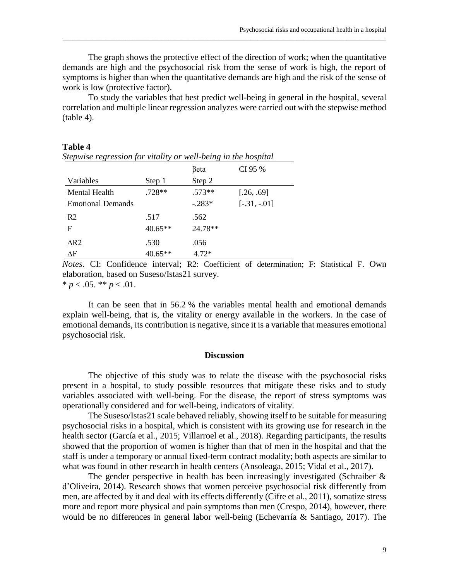The graph shows the protective effect of the direction of work; when the quantitative demands are high and the psychosocial risk from the sense of work is high, the report of symptoms is higher than when the quantitative demands are high and the risk of the sense of work is low (protective factor).

\_\_\_\_\_\_\_\_\_\_\_\_\_\_\_\_\_\_\_\_\_\_\_\_\_\_\_\_\_\_\_\_\_\_\_\_\_\_\_\_\_\_\_\_\_\_\_\_\_\_\_\_\_\_\_\_\_\_\_\_\_\_\_\_\_\_\_\_\_\_\_\_\_\_\_\_\_\_\_\_\_\_\_\_\_\_\_\_\_\_\_\_\_\_\_\_\_\_

To study the variables that best predict well-being in general in the hospital, several correlation and multiple linear regression analyzes were carried out with the stepwise method (table 4).

#### **Table 4**

| ັ                        |           | $\cdot$  |                |
|--------------------------|-----------|----------|----------------|
|                          |           | βeta     | CI 95 %        |
| Variables                | Step 1    | Step 2   |                |
| Mental Health            | $.728**$  | $.573**$ | [.26, .69]     |
| <b>Emotional Demands</b> |           | $-.283*$ | $[-.31, -.01]$ |
| R <sub>2</sub>           | .517      | .562     |                |
| F                        | $40.65**$ | 24.78**  |                |
| $\Delta R2$              | .530      | .056     |                |
| ΔF                       | $40.65**$ | $4.72*$  |                |

*Stepwise regression for vitality or well-being in the hospital*

*Notes*. CI: Confidence interval; R2: Coefficient of determination; F: Statistical F. Own elaboration, based on Suseso/Istas21 survey.  $* p < .05. ** p < .01.$ 

It can be seen that in 56.2 % the variables mental health and emotional demands explain well-being, that is, the vitality or energy available in the workers. In the case of emotional demands, its contribution is negative, since it is a variable that measures emotional psychosocial risk.

## **Discussion**

The objective of this study was to relate the disease with the psychosocial risks present in a hospital, to study possible resources that mitigate these risks and to study variables associated with well-being. For the disease, the report of stress symptoms was operationally considered and for well-being, indicators of vitality.

The Suseso/Istas21 scale behaved reliably, showing itself to be suitable for measuring psychosocial risks in a hospital, which is consistent with its growing use for research in the health sector (García et al., 2015; Villarroel et al., 2018). Regarding participants, the results showed that the proportion of women is higher than that of men in the hospital and that the staff is under a temporary or annual fixed-term contract modality; both aspects are similar to what was found in other research in health centers (Ansoleaga, 2015; Vidal et al., 2017).

The gender perspective in health has been increasingly investigated (Schraiber  $\&$ d'Oliveira, 2014). Research shows that women perceive psychosocial risk differently from men, are affected by it and deal with its effects differently (Cifre et al., 2011), somatize stress more and report more physical and pain symptoms than men (Crespo, 2014), however, there would be no differences in general labor well-being (Echevarría & Santiago, 2017). The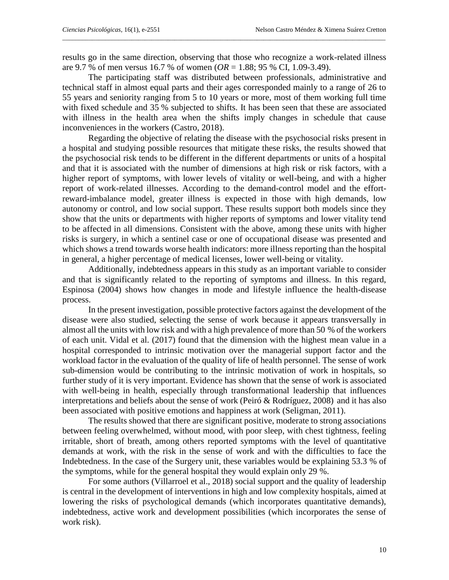results go in the same direction, observing that those who recognize a work-related illness are 9.7 % of men versus 16.7 % of women (*OR* = 1.88; 95 % CI, 1.09-3.49).

 $\_$  . The contribution of the contribution of the contribution of the contribution of  $\mathcal{L}_1$ 

The participating staff was distributed between professionals, administrative and technical staff in almost equal parts and their ages corresponded mainly to a range of 26 to 55 years and seniority ranging from 5 to 10 years or more, most of them working full time with fixed schedule and 35 % subjected to shifts. It has been seen that these are associated with illness in the health area when the shifts imply changes in schedule that cause inconveniences in the workers (Castro, 2018).

Regarding the objective of relating the disease with the psychosocial risks present in a hospital and studying possible resources that mitigate these risks, the results showed that the psychosocial risk tends to be different in the different departments or units of a hospital and that it is associated with the number of dimensions at high risk or risk factors, with a higher report of symptoms, with lower levels of vitality or well-being, and with a higher report of work-related illnesses. According to the demand-control model and the effortreward-imbalance model, greater illness is expected in those with high demands, low autonomy or control, and low social support. These results support both models since they show that the units or departments with higher reports of symptoms and lower vitality tend to be affected in all dimensions. Consistent with the above, among these units with higher risks is surgery, in which a sentinel case or one of occupational disease was presented and which shows a trend towards worse health indicators: more illness reporting than the hospital in general, a higher percentage of medical licenses, lower well-being or vitality.

Additionally, indebtedness appears in this study as an important variable to consider and that is significantly related to the reporting of symptoms and illness. In this regard, Espinosa (2004) shows how changes in mode and lifestyle influence the health-disease process.

In the present investigation, possible protective factors against the development of the disease were also studied, selecting the sense of work because it appears transversally in almost all the units with low risk and with a high prevalence of more than 50 % of the workers of each unit. Vidal et al. (2017) found that the dimension with the highest mean value in a hospital corresponded to intrinsic motivation over the managerial support factor and the workload factor in the evaluation of the quality of life of health personnel. The sense of work sub-dimension would be contributing to the intrinsic motivation of work in hospitals, so further study of it is very important. Evidence has shown that the sense of work is associated with well-being in health, especially through transformational leadership that influences interpretations and beliefs about the sense of work (Peiró & Rodríguez, 2008) and it has also been associated with positive emotions and happiness at work (Seligman, 2011).

The results showed that there are significant positive, moderate to strong associations between feeling overwhelmed, without mood, with poor sleep, with chest tightness, feeling irritable, short of breath, among others reported symptoms with the level of quantitative demands at work, with the risk in the sense of work and with the difficulties to face the Indebtedness. In the case of the Surgery unit, these variables would be explaining 53.3 % of the symptoms, while for the general hospital they would explain only 29 %.

For some authors (Villarroel et al., 2018) social support and the quality of leadership is central in the development of interventions in high and low complexity hospitals, aimed at lowering the risks of psychological demands (which incorporates quantitative demands), indebtedness, active work and development possibilities (which incorporates the sense of work risk).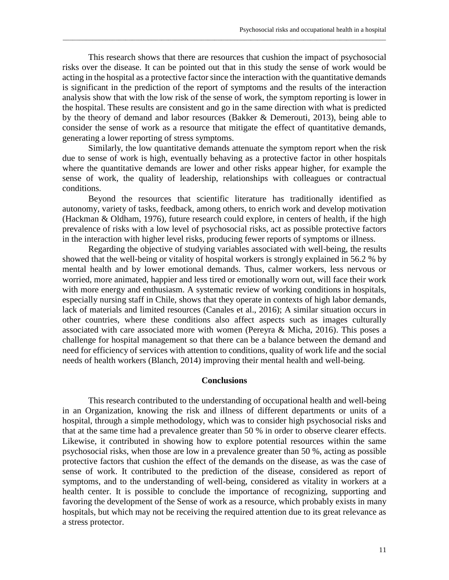This research shows that there are resources that cushion the impact of psychosocial risks over the disease. It can be pointed out that in this study the sense of work would be acting in the hospital as a protective factor since the interaction with the quantitative demands is significant in the prediction of the report of symptoms and the results of the interaction analysis show that with the low risk of the sense of work, the symptom reporting is lower in the hospital. These results are consistent and go in the same direction with what is predicted by the theory of demand and labor resources (Bakker & Demerouti, 2013), being able to consider the sense of work as a resource that mitigate the effect of quantitative demands, generating a lower reporting of stress symptoms.

\_\_\_\_\_\_\_\_\_\_\_\_\_\_\_\_\_\_\_\_\_\_\_\_\_\_\_\_\_\_\_\_\_\_\_\_\_\_\_\_\_\_\_\_\_\_\_\_\_\_\_\_\_\_\_\_\_\_\_\_\_\_\_\_\_\_\_\_\_\_\_\_\_\_\_\_\_\_\_\_\_\_\_\_\_\_\_\_\_\_\_\_\_\_\_\_\_\_

Similarly, the low quantitative demands attenuate the symptom report when the risk due to sense of work is high, eventually behaving as a protective factor in other hospitals where the quantitative demands are lower and other risks appear higher, for example the sense of work, the quality of leadership, relationships with colleagues or contractual conditions.

Beyond the resources that scientific literature has traditionally identified as autonomy, variety of tasks, feedback, among others, to enrich work and develop motivation (Hackman & Oldham, 1976), future research could explore, in centers of health, if the high prevalence of risks with a low level of psychosocial risks, act as possible protective factors in the interaction with higher level risks, producing fewer reports of symptoms or illness.

Regarding the objective of studying variables associated with well-being, the results showed that the well-being or vitality of hospital workers is strongly explained in 56.2 % by mental health and by lower emotional demands. Thus, calmer workers, less nervous or worried, more animated, happier and less tired or emotionally worn out, will face their work with more energy and enthusiasm. A systematic review of working conditions in hospitals, especially nursing staff in Chile, shows that they operate in contexts of high labor demands, lack of materials and limited resources (Canales et al., 2016); A similar situation occurs in other countries, where these conditions also affect aspects such as images culturally associated with care associated more with women (Pereyra & Micha, 2016). This poses a challenge for hospital management so that there can be a balance between the demand and need for efficiency of services with attention to conditions, quality of work life and the social needs of health workers (Blanch, 2014) improving their mental health and well-being.

## **Conclusions**

This research contributed to the understanding of occupational health and well-being in an Organization, knowing the risk and illness of different departments or units of a hospital, through a simple methodology, which was to consider high psychosocial risks and that at the same time had a prevalence greater than 50 % in order to observe clearer effects. Likewise, it contributed in showing how to explore potential resources within the same psychosocial risks, when those are low in a prevalence greater than 50 %, acting as possible protective factors that cushion the effect of the demands on the disease, as was the case of sense of work. It contributed to the prediction of the disease, considered as report of symptoms, and to the understanding of well-being, considered as vitality in workers at a health center. It is possible to conclude the importance of recognizing, supporting and favoring the development of the Sense of work as a resource, which probably exists in many hospitals, but which may not be receiving the required attention due to its great relevance as a stress protector.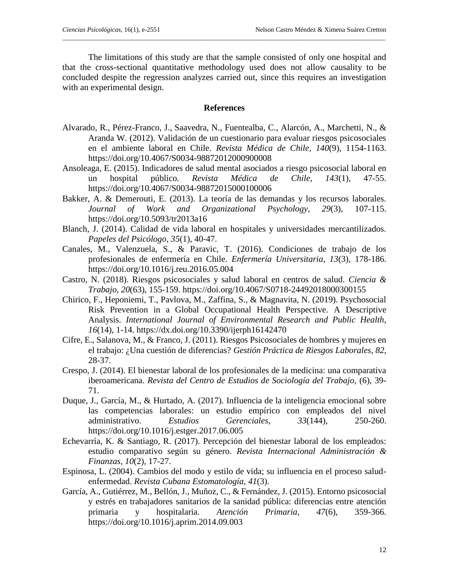The limitations of this study are that the sample consisted of only one hospital and that the cross-sectional quantitative methodology used does not allow causality to be concluded despite the regression analyzes carried out, since this requires an investigation with an experimental design.

 $\_$  . The contribution of the contribution of the contribution of the contribution of  $\mathcal{L}_1$ 

# **References**

- Alvarado, R., Pérez-Franco, J., Saavedra, N., Fuentealba, C., Alarcón, A., Marchetti, N., & Aranda W. (2012). Validación de un cuestionario para evaluar riesgos psicosociales en el ambiente laboral en Chile. *Revista Médica de Chile*, *140*(9), 1154-1163. https://doi.org/10.4067/S0034-98872012000900008
- Ansoleaga, E. (2015). Indicadores de salud mental asociados a riesgo psicosocial laboral en un hospital público. *Revista Médica de Chile*, *143*(1), 47-55. https://doi.org/10.4067/S0034-98872015000100006
- Bakker, A. & Demerouti, E. (2013). La teoría de las demandas y los recursos laborales. *Journal of Work and Organizational Psychology, 29*(3), 107-115. https://doi.org/10.5093/tr2013a16
- Blanch, J. (2014). Calidad de vida laboral en hospitales y universidades mercantilizados. *Papeles del Psicólogo*, *35*(1), 40-47.
- Canales, M., Valenzuela, S., & Paravic, T. (2016). Condiciones de trabajo de los profesionales de enfermería en Chile. *Enfermería Universitaria*, *13*(3), 178-186. https://doi.org/10.1016/j.reu.2016.05.004
- Castro, N. (2018). Riesgos psicosociales y salud laboral en centros de salud. *Ciencia & Trabajo*, *20*(63), 155-159. https://doi.org/10.4067/S0718-24492018000300155
- Chirico, F., Heponiemi, T., Pavlova, M., Zaffina, S., & Magnavita, N. (2019). Psychosocial Risk Prevention in a Global Occupational Health Perspective. A Descriptive Analysis. *International Journal of Environmental Research and Public Health*, *16*(14), 1-14. https://dx.doi.org/10.3390/ijerph16142470
- Cifre, E., Salanova, M., & Franco, J. (2011). Riesgos Psicosociales de hombres y mujeres en el trabajo: ¿Una cuestión de diferencias? *Gestión Práctica de Riesgos Laborales*, *82*, 28-37.
- Crespo, J. (2014). El bienestar laboral de los profesionales de la medicina: una comparativa iberoamericana. *Revista del Centro de Estudios de Sociología del Trabajo,* (6), 39- 71.
- Duque, J., García, M., & Hurtado, A. (2017). Influencia de la inteligencia emocional sobre las competencias laborales: un estudio empírico con empleados del nivel administrativo. *Estudios Gerenciales, 33*(144), 250-260. https://doi.org/10.1016/j.estger.2017.06.005
- Echevarría, K. & Santiago, R. (2017). Percepción del bienestar laboral de los empleados: estudio comparativo según su género. *Revista Internacional Administración & Finanzas*, *10*(2), 17-27.
- Espinosa, L. (2004). Cambios del modo y estilo de vida; su influencia en el proceso saludenfermedad. *Revista Cubana Estomatología, 41*(3).
- García, A., Gutiérrez, M., Bellón, J., Muñoz, C., & Fernández, J. (2015). Entorno psicosocial y estrés en trabajadores sanitarios de la sanidad pública: diferencias entre atención primaria y hospitalaria. *Atención Primaria*, *47*(6), 359-366. https://doi.org/10.1016/j.aprim.2014.09.003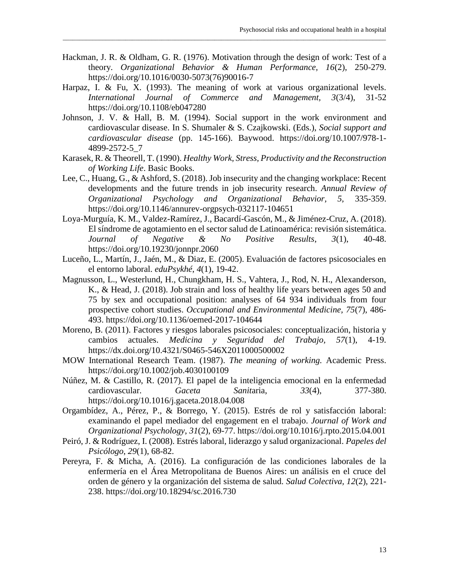Hackman, J. R. & Oldham, G. R. (1976). Motivation through the design of work: Test of a theory. *Organizational Behavior & Human Performance, 16*(2), 250-279. https://doi.org/10.1016/0030-5073(76)90016-7

\_\_\_\_\_\_\_\_\_\_\_\_\_\_\_\_\_\_\_\_\_\_\_\_\_\_\_\_\_\_\_\_\_\_\_\_\_\_\_\_\_\_\_\_\_\_\_\_\_\_\_\_\_\_\_\_\_\_\_\_\_\_\_\_\_\_\_\_\_\_\_\_\_\_\_\_\_\_\_\_\_\_\_\_\_\_\_\_\_\_\_\_\_\_\_\_\_\_

- Harpaz, I. & Fu, X. (1993). The meaning of work at various organizational levels. *International Journal of Commerce and Management, 3*(3/4), 31-52 https://doi.org/10.1108/eb047280
- Johnson, J. V. & Hall, B. M. (1994). Social support in the work environment and cardiovascular disease. In S. Shumaler & S. Czajkowski. (Eds.), *Social support and cardiovascular disease* (pp. 145-166). Baywood. https://doi.org/10.1007/978-1- 4899-2572-5\_7
- Karasek, R. & Theorell, T. (1990). *Healthy Work, Stress, Productivity and the Reconstruction of Working Life*. Basic Books.
- Lee, C., Huang, G., & Ashford, S. (2018). Job insecurity and the changing workplace: Recent developments and the future trends in job insecurity research. *Annual Review of Organizational Psychology and Organizational Behavior, 5,* 335-359. https://doi.org/10.1146/annurev-orgpsych-032117-104651
- Loya-Murguía, K. M., Valdez-Ramírez, J., Bacardí-Gascón, M., & Jiménez-Cruz, A. (2018). El síndrome de agotamiento en el sector salud de Latinoamérica: revisión sistemática. *Journal of Negative & No Positive Results*, *3*(1), 40-48. https://doi.org/10.19230/jonnpr.2060
- Luceño, L., Martín, J., Jaén, M., & Diaz, E. (2005). Evaluación de factores psicosociales en el entorno laboral. *eduPsykhé*, *4*(1), 19-42.
- Magnusson, L., Westerlund, H., Chungkham, H. S., Vahtera, J., Rod, N. H., Alexanderson, K., & Head, J. (2018). Job strain and loss of healthy life years between ages 50 and 75 by sex and occupational position: analyses of 64 934 individuals from four prospective cohort studies. *Occupational and Environmental Medicine, 75*(7), 486- 493. https://doi.org/10.1136/oemed-2017-104644
- Moreno, B. (2011). Factores y riesgos laborales psicosociales: conceptualización, historia y cambios actuales. *Medicina y Seguridad del Trabajo, 57*(1), 4-19. https://dx.doi.org/10.4321/S0465-546X2011000500002
- MOW International Research Team. (1987). *The meaning of working.* Academic Press. https://doi.org/10.1002/job.4030100109
- Núñez, M. & Castillo, R. (2017). El papel de la inteligencia emocional en la enfermedad cardiovascular. *Gaceta Sanit*aria, *33*(4), 377-380. https://doi.org/10.1016/j.gaceta.2018.04.008
- Orgambídez, A., Pérez, P., & Borrego, Y. (2015). Estrés de rol y satisfacción laboral: examinando el papel mediador del engagement en el trabajo. *Journal of Work and Organizational Psychology*, *31*(2), 69-77. https://doi.org/10.1016/j.rpto.2015.04.001
- Peiró, J. & Rodríguez, I. (2008). Estrés laboral, liderazgo y salud organizacional. *Papeles del Psicólogo*, *29*(1), 68-82.
- Pereyra, F. & Micha, A. (2016). La configuración de las condiciones laborales de la enfermería en el Área Metropolitana de Buenos Aires: un análisis en el cruce del orden de género y la organización del sistema de salud. *Salud Colectiva, 12*(2), 221- 238. https://doi.org/10.18294/sc.2016.730